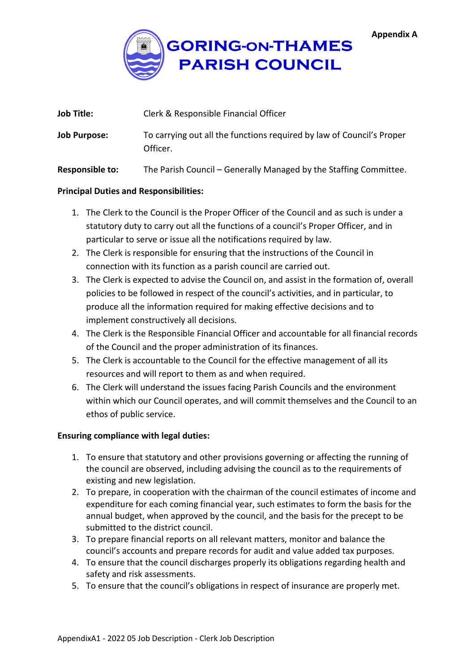

| <b>Job Title:</b>      | Clerk & Responsible Financial Officer                                             |  |
|------------------------|-----------------------------------------------------------------------------------|--|
| <b>Job Purpose:</b>    | To carrying out all the functions required by law of Council's Proper<br>Officer. |  |
| <b>Responsible to:</b> | The Parish Council – Generally Managed by the Staffing Committee.                 |  |

#### **Principal Duties and Responsibilities:**

- 1. The Clerk to the Council is the Proper Officer of the Council and as such is under a statutory duty to carry out all the functions of a council's Proper Officer, and in particular to serve or issue all the notifications required by law.
- 2. The Clerk is responsible for ensuring that the instructions of the Council in connection with its function as a parish council are carried out.
- 3. The Clerk is expected to advise the Council on, and assist in the formation of, overall policies to be followed in respect of the council's activities, and in particular, to produce all the information required for making effective decisions and to implement constructively all decisions.
- 4. The Clerk is the Responsible Financial Officer and accountable for all financial records of the Council and the proper administration of its finances.
- 5. The Clerk is accountable to the Council for the effective management of all its resources and will report to them as and when required.
- 6. The Clerk will understand the issues facing Parish Councils and the environment within which our Council operates, and will commit themselves and the Council to an ethos of public service.

# **Ensuring compliance with legal duties:**

- 1. To ensure that statutory and other provisions governing or affecting the running of the council are observed, including advising the council as to the requirements of existing and new legislation.
- 2. To prepare, in cooperation with the chairman of the council estimates of income and expenditure for each coming financial year, such estimates to form the basis for the annual budget, when approved by the council, and the basis for the precept to be submitted to the district council.
- 3. To prepare financial reports on all relevant matters, monitor and balance the council's accounts and prepare records for audit and value added tax purposes.
- 4. To ensure that the council discharges properly its obligations regarding health and safety and risk assessments.
- 5. To ensure that the council's obligations in respect of insurance are properly met.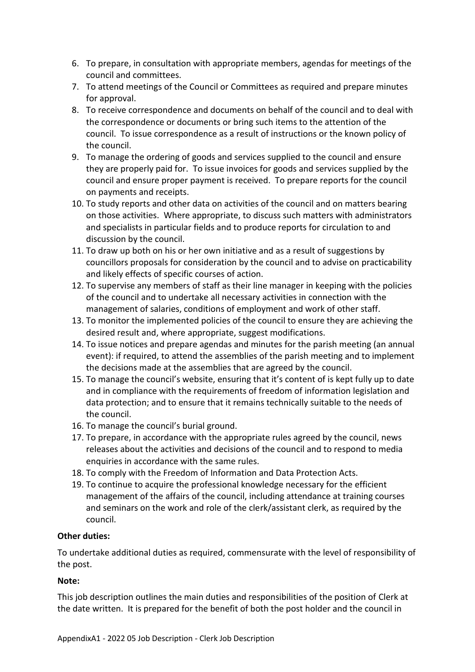- 6. To prepare, in consultation with appropriate members, agendas for meetings of the council and committees.
- 7. To attend meetings of the Council or Committees as required and prepare minutes for approval.
- 8. To receive correspondence and documents on behalf of the council and to deal with the correspondence or documents or bring such items to the attention of the council. To issue correspondence as a result of instructions or the known policy of the council.
- 9. To manage the ordering of goods and services supplied to the council and ensure they are properly paid for. To issue invoices for goods and services supplied by the council and ensure proper payment is received. To prepare reports for the council on payments and receipts.
- 10. To study reports and other data on activities of the council and on matters bearing on those activities. Where appropriate, to discuss such matters with administrators and specialists in particular fields and to produce reports for circulation to and discussion by the council.
- 11. To draw up both on his or her own initiative and as a result of suggestions by councillors proposals for consideration by the council and to advise on practicability and likely effects of specific courses of action.
- 12. To supervise any members of staff as their line manager in keeping with the policies of the council and to undertake all necessary activities in connection with the management of salaries, conditions of employment and work of other staff.
- 13. To monitor the implemented policies of the council to ensure they are achieving the desired result and, where appropriate, suggest modifications.
- 14. To issue notices and prepare agendas and minutes for the parish meeting (an annual event): if required, to attend the assemblies of the parish meeting and to implement the decisions made at the assemblies that are agreed by the council.
- 15. To manage the council's website, ensuring that it's content of is kept fully up to date and in compliance with the requirements of freedom of information legislation and data protection; and to ensure that it remains technically suitable to the needs of the council.
- 16. To manage the council's burial ground.
- 17. To prepare, in accordance with the appropriate rules agreed by the council, news releases about the activities and decisions of the council and to respond to media enquiries in accordance with the same rules.
- 18. To comply with the Freedom of Information and Data Protection Acts.
- 19. To continue to acquire the professional knowledge necessary for the efficient management of the affairs of the council, including attendance at training courses and seminars on the work and role of the clerk/assistant clerk, as required by the council.

# **Other duties:**

To undertake additional duties as required, commensurate with the level of responsibility of the post.

# **Note:**

This job description outlines the main duties and responsibilities of the position of Clerk at the date written. It is prepared for the benefit of both the post holder and the council in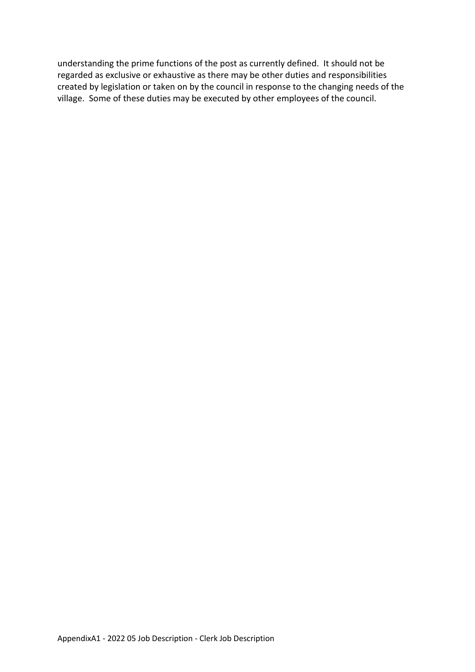understanding the prime functions of the post as currently defined. It should not be regarded as exclusive or exhaustive as there may be other duties and responsibilities created by legislation or taken on by the council in response to the changing needs of the village. Some of these duties may be executed by other employees of the council.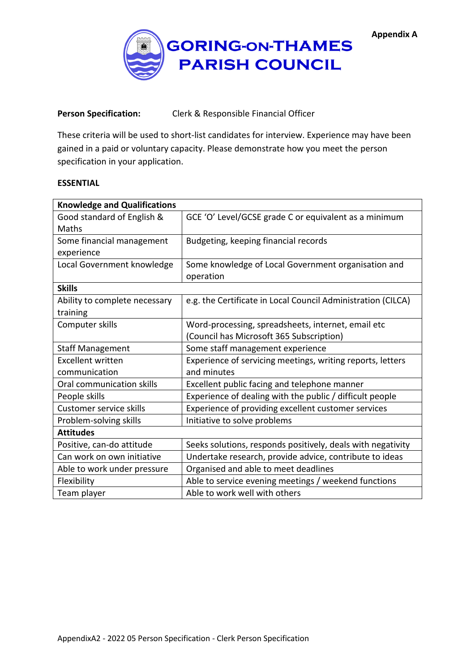**Appendix A**



## **Person Specification:** Clerk & Responsible Financial Officer

These criteria will be used to short-list candidates for interview. Experience may have been gained in a paid or voluntary capacity. Please demonstrate how you meet the person specification in your application.

### **ESSENTIAL**

| <b>Knowledge and Qualifications</b> |                                                              |  |  |
|-------------------------------------|--------------------------------------------------------------|--|--|
| Good standard of English &          | GCE 'O' Level/GCSE grade C or equivalent as a minimum        |  |  |
| Maths                               |                                                              |  |  |
| Some financial management           | Budgeting, keeping financial records                         |  |  |
| experience                          |                                                              |  |  |
| Local Government knowledge          | Some knowledge of Local Government organisation and          |  |  |
|                                     | operation                                                    |  |  |
| <b>Skills</b>                       |                                                              |  |  |
| Ability to complete necessary       | e.g. the Certificate in Local Council Administration (CILCA) |  |  |
| training                            |                                                              |  |  |
| Computer skills                     | Word-processing, spreadsheets, internet, email etc           |  |  |
|                                     | (Council has Microsoft 365 Subscription)                     |  |  |
| <b>Staff Management</b>             | Some staff management experience                             |  |  |
| <b>Excellent written</b>            | Experience of servicing meetings, writing reports, letters   |  |  |
| communication                       | and minutes                                                  |  |  |
| Oral communication skills           | Excellent public facing and telephone manner                 |  |  |
| People skills                       | Experience of dealing with the public / difficult people     |  |  |
| Customer service skills             | Experience of providing excellent customer services          |  |  |
| Problem-solving skills              | Initiative to solve problems                                 |  |  |
| <b>Attitudes</b>                    |                                                              |  |  |
| Positive, can-do attitude           | Seeks solutions, responds positively, deals with negativity  |  |  |
| Can work on own initiative          | Undertake research, provide advice, contribute to ideas      |  |  |
| Able to work under pressure         | Organised and able to meet deadlines                         |  |  |
| Flexibility                         | Able to service evening meetings / weekend functions         |  |  |
| Team player                         | Able to work well with others                                |  |  |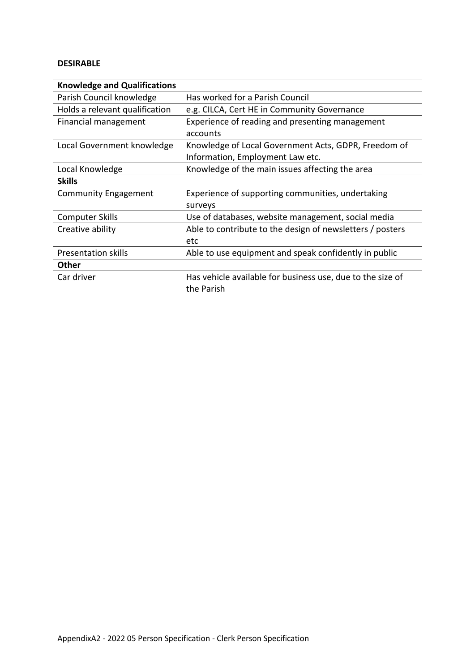#### **DESIRABLE**

| <b>Knowledge and Qualifications</b> |                                                            |  |  |
|-------------------------------------|------------------------------------------------------------|--|--|
| Parish Council knowledge            | Has worked for a Parish Council                            |  |  |
| Holds a relevant qualification      | e.g. CILCA, Cert HE in Community Governance                |  |  |
| Financial management                | Experience of reading and presenting management            |  |  |
|                                     | accounts                                                   |  |  |
| Local Government knowledge          | Knowledge of Local Government Acts, GDPR, Freedom of       |  |  |
|                                     | Information, Employment Law etc.                           |  |  |
| Local Knowledge                     | Knowledge of the main issues affecting the area            |  |  |
| <b>Skills</b>                       |                                                            |  |  |
| <b>Community Engagement</b>         | Experience of supporting communities, undertaking          |  |  |
|                                     | surveys                                                    |  |  |
| Computer Skills                     | Use of databases, website management, social media         |  |  |
| Creative ability                    | Able to contribute to the design of newsletters / posters  |  |  |
|                                     | etc                                                        |  |  |
| Presentation skills                 | Able to use equipment and speak confidently in public      |  |  |
| Other                               |                                                            |  |  |
| Car driver                          | Has vehicle available for business use, due to the size of |  |  |
|                                     | the Parish                                                 |  |  |